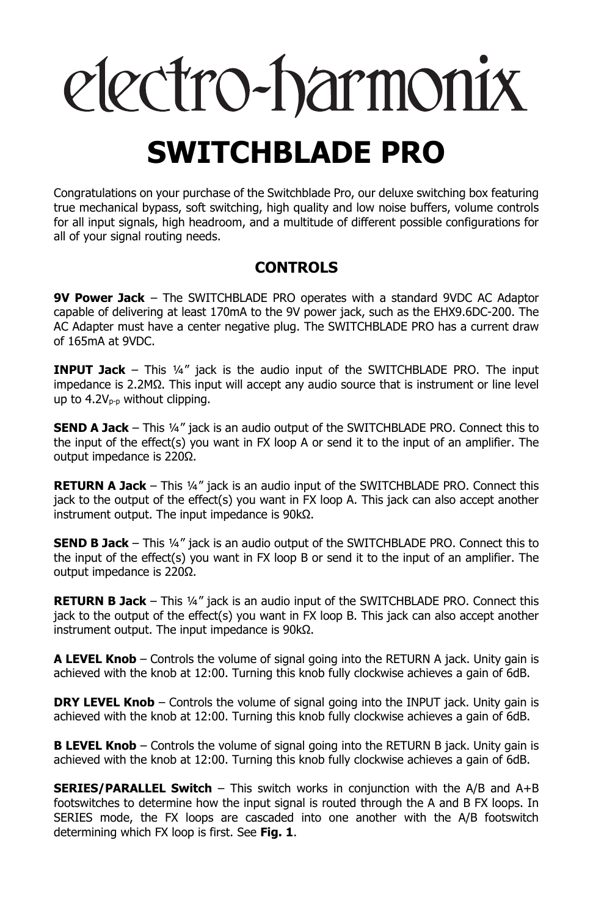# electro-harmonix **SWITCHBLADE PRO**

Congratulations on your purchase of the Switchblade Pro, our deluxe switching box featuring true mechanical bypass, soft switching, high quality and low noise buffers, volume controls for all input signals, high headroom, and a multitude of different possible configurations for all of your signal routing needs.

## **CONTROLS**

**9V Power Jack** – The SWITCHBLADE PRO operates with a standard 9VDC AC Adaptor capable of delivering at least 170mA to the 9V power jack, such as the EHX9.6DC-200. The AC Adapter must have a center negative plug. The SWITCHBLADE PRO has a current draw of 165mA at 9VDC.

**INPUT Jack** – This ¼" jack is the audio input of the SWITCHBLADE PRO. The input impedance is 2.2MΩ. This input will accept any audio source that is instrument or line level up to  $4.2V_{p-p}$  without clipping.

**SEND A Jack** – This ¼" jack is an audio output of the SWITCHBLADE PRO. Connect this to the input of the effect(s) you want in FX loop A or send it to the input of an amplifier. The output impedance is 220Ω.

**RETURN A Jack** – This ¼" jack is an audio input of the SWITCHBLADE PRO. Connect this jack to the output of the effect(s) you want in FX loop A. This jack can also accept another instrument output. The input impedance is 90kΩ.

**SEND B Jack** – This ¼" jack is an audio output of the SWITCHBLADE PRO. Connect this to the input of the effect(s) you want in FX loop B or send it to the input of an amplifier. The output impedance is 220Ω.

**RETURN B Jack** – This ¼" jack is an audio input of the SWITCHBLADE PRO. Connect this jack to the output of the effect(s) you want in FX loop B. This jack can also accept another instrument output. The input impedance is 90kΩ.

**A LEVEL Knob** – Controls the volume of signal going into the RETURN A jack. Unity gain is achieved with the knob at 12:00. Turning this knob fully clockwise achieves a gain of 6dB.

**DRY LEVEL Knob** – Controls the volume of signal going into the INPUT jack. Unity gain is achieved with the knob at 12:00. Turning this knob fully clockwise achieves a gain of 6dB.

**B LEVEL Knob** – Controls the volume of signal going into the RETURN B jack. Unity gain is achieved with the knob at 12:00. Turning this knob fully clockwise achieves a gain of 6dB.

**SERIES/PARALLEL Switch** – This switch works in conjunction with the A/B and A+B footswitches to determine how the input signal is routed through the A and B FX loops. In SERIES mode, the FX loops are cascaded into one another with the A/B footswitch determining which FX loop is first. See **Fig. 1**.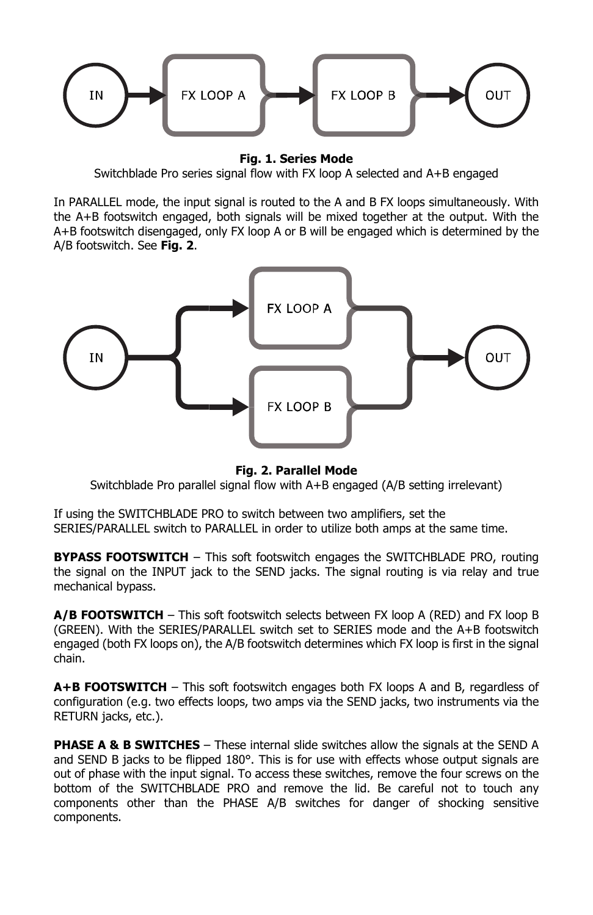

**Fig. 1. Series Mode** 

Switchblade Pro series signal flow with FX loop A selected and A+B engaged

In PARALLEL mode, the input signal is routed to the A and B FX loops simultaneously. With the A+B footswitch engaged, both signals will be mixed together at the output. With the A+B footswitch disengaged, only FX loop A or B will be engaged which is determined by the A/B footswitch. See **Fig. 2**.



**Fig. 2. Parallel Mode** 

Switchblade Pro parallel signal flow with A+B engaged (A/B setting irrelevant)

If using the SWITCHBLADE PRO to switch between two amplifiers, set the SERIES/PARALLEL switch to PARALLEL in order to utilize both amps at the same time.

**BYPASS FOOTSWITCH** – This soft footswitch engages the SWITCHBLADE PRO, routing the signal on the INPUT jack to the SEND jacks. The signal routing is via relay and true mechanical bypass.

**A/B FOOTSWITCH** – This soft footswitch selects between FX loop A (RED) and FX loop B (GREEN). With the SERIES/PARALLEL switch set to SERIES mode and the A+B footswitch engaged (both FX loops on), the A/B footswitch determines which FX loop is first in the signal chain.

**A+B FOOTSWITCH** – This soft footswitch engages both FX loops A and B, regardless of configuration (e.g. two effects loops, two amps via the SEND jacks, two instruments via the RETURN jacks, etc.).

**PHASE A & B SWITCHES** – These internal slide switches allow the signals at the SEND A and SEND B jacks to be flipped 180°. This is for use with effects whose output signals are out of phase with the input signal. To access these switches, remove the four screws on the bottom of the SWITCHBLADE PRO and remove the lid. Be careful not to touch any components other than the PHASE A/B switches for danger of shocking sensitive components.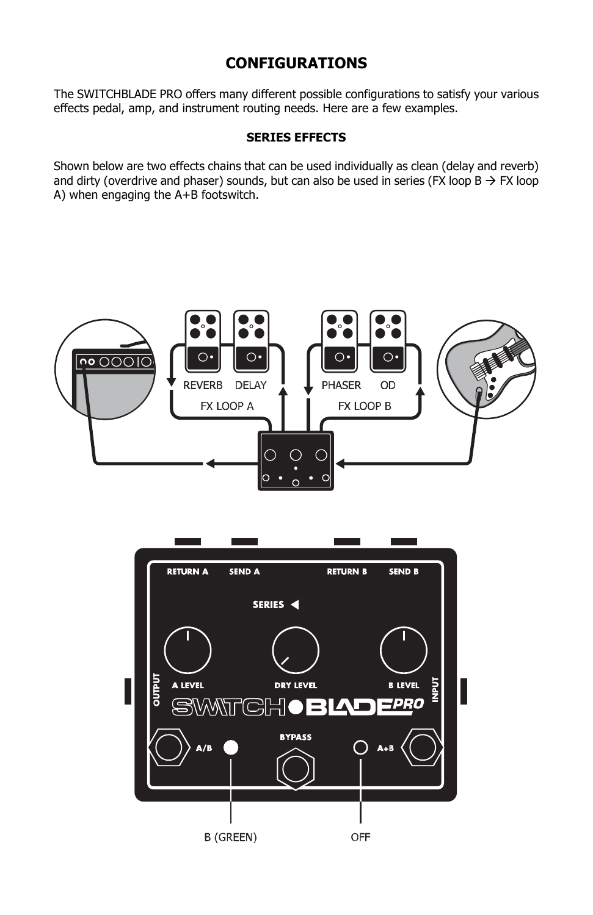## **CONFIGURATIONS**

The SWITCHBLADE PRO offers many different possible configurations to satisfy your various effects pedal, amp, and instrument routing needs. Here are a few examples.

#### **SERIES EFFECTS**

Shown below are two effects chains that can be used individually as clean (delay and reverb) and dirty (overdrive and phaser) sounds, but can also be used in series (FX loop B  $\rightarrow$  FX loop A) when engaging the A+B footswitch.



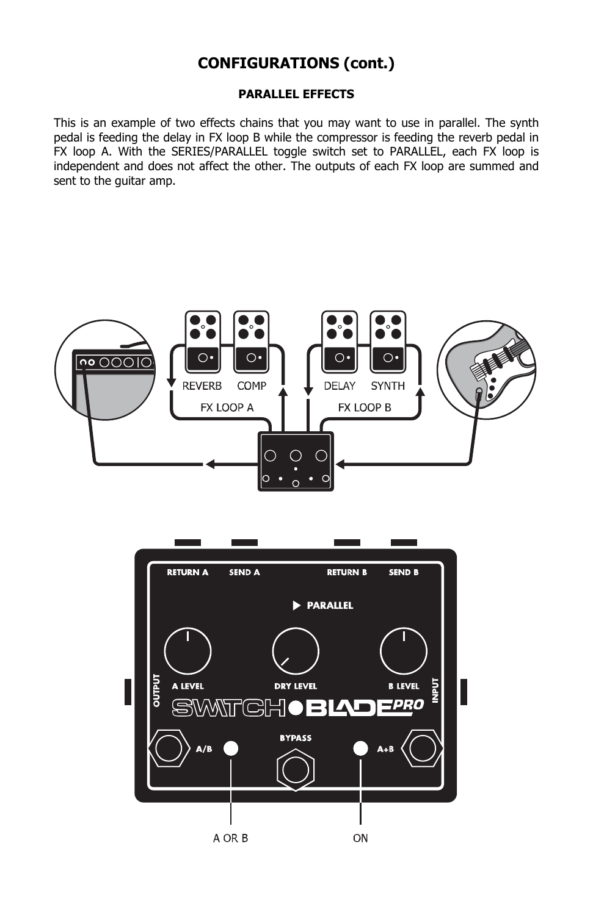#### **PARALLEL EFFECTS**

This is an example of two effects chains that you may want to use in parallel. The synth pedal is feeding the delay in FX loop B while the compressor is feeding the reverb pedal in FX loop A. With the SERIES/PARALLEL toggle switch set to PARALLEL, each FX loop is independent and does not affect the other. The outputs of each FX loop are summed and sent to the guitar amp.



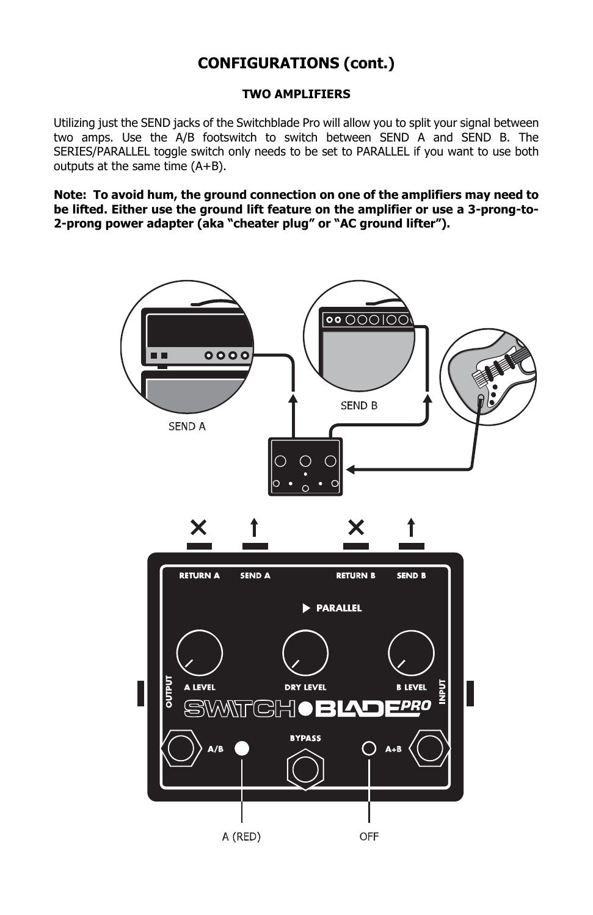#### **TWO AMPLIFIERS**

Utilizing just the SEND jacks of the Switchblade Pro will allow you to split your signal between two amps. Use the A/B footswitch to switch between SEND A and SEND B. The SERIES/PARALLEL toggle switch only needs to be set to PARALLEL if you want to use both outputs at the same time (A+B).

**Note: To avoid hum, the ground connection on one of the amplifiers may need to be lifted. Either use the ground lift feature on the amplifier or use a 3-prong-to-2-prong power adapter (aka "cheater plug" or "AC ground lifter").** 

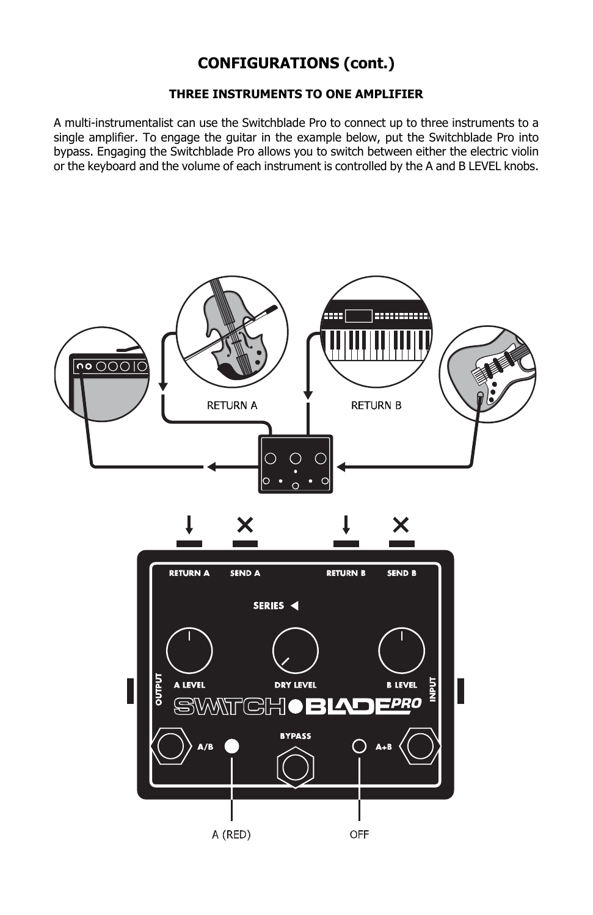#### **THREE INSTRUMENTS TO ONE AMPLIFIER**

A multi-instrumentalist can use the Switchblade Pro to connect up to three instruments to a single amplifier. To engage the guitar in the example below, put the Switchblade Pro into bypass. Engaging the Switchblade Pro allows you to switch between either the electric violin or the keyboard and the volume of each instrument is controlled by the A and B LEVEL knobs.

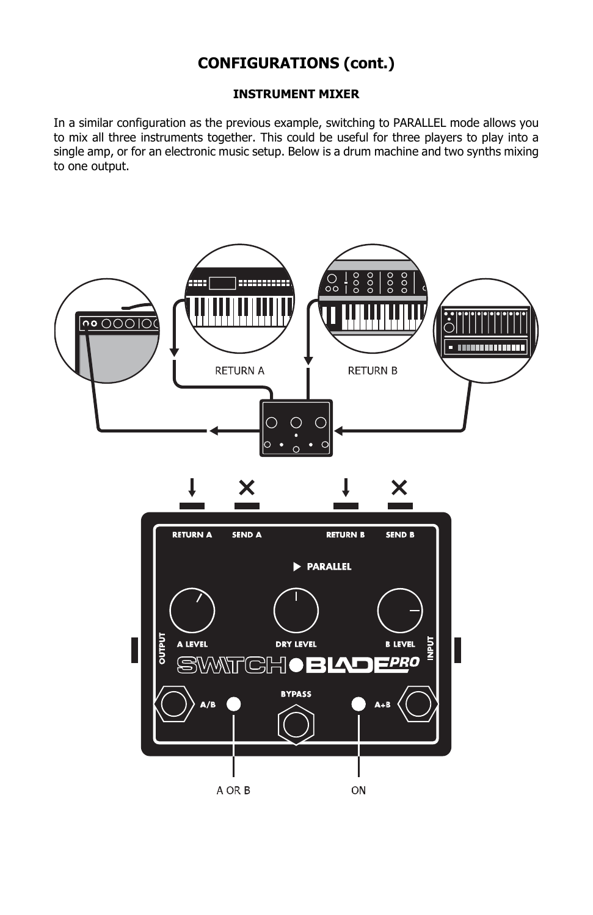#### **INSTRUMENT MIXER**

In a similar configuration as the previous example, switching to PARALLEL mode allows you to mix all three instruments together. This could be useful for three players to play into a single amp, or for an electronic music setup. Below is a drum machine and two synths mixing to one output.

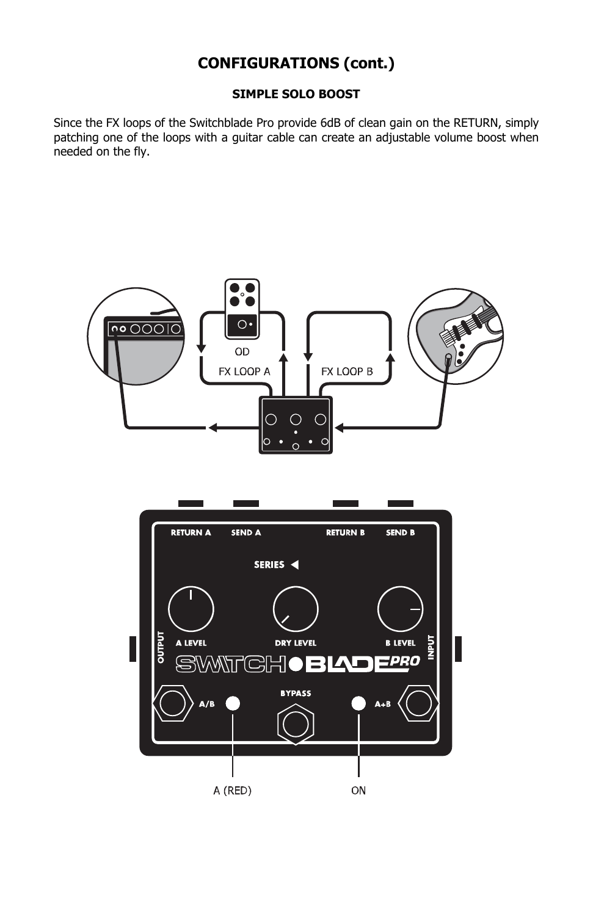#### **SIMPLE SOLO BOOST**

Since the FX loops of the Switchblade Pro provide 6dB of clean gain on the RETURN, simply patching one of the loops with a guitar cable can create an adjustable volume boost when needed on the fly.

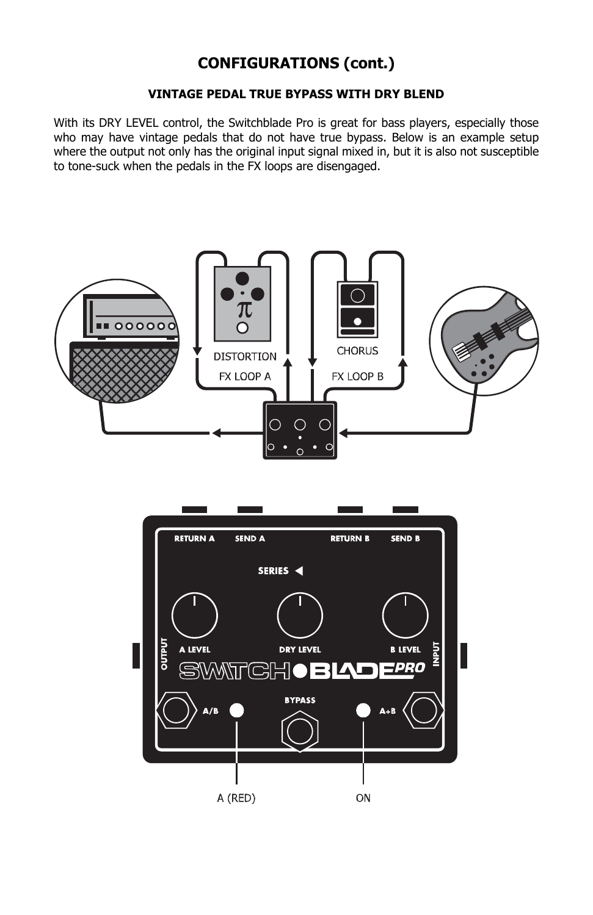#### **VINTAGE PEDAL TRUE BYPASS WITH DRY BLEND**

With its DRY LEVEL control, the Switchblade Pro is great for bass players, especially those who may have vintage pedals that do not have true bypass. Below is an example setup where the output not only has the original input signal mixed in, but it is also not susceptible to tone-suck when the pedals in the FX loops are disengaged.



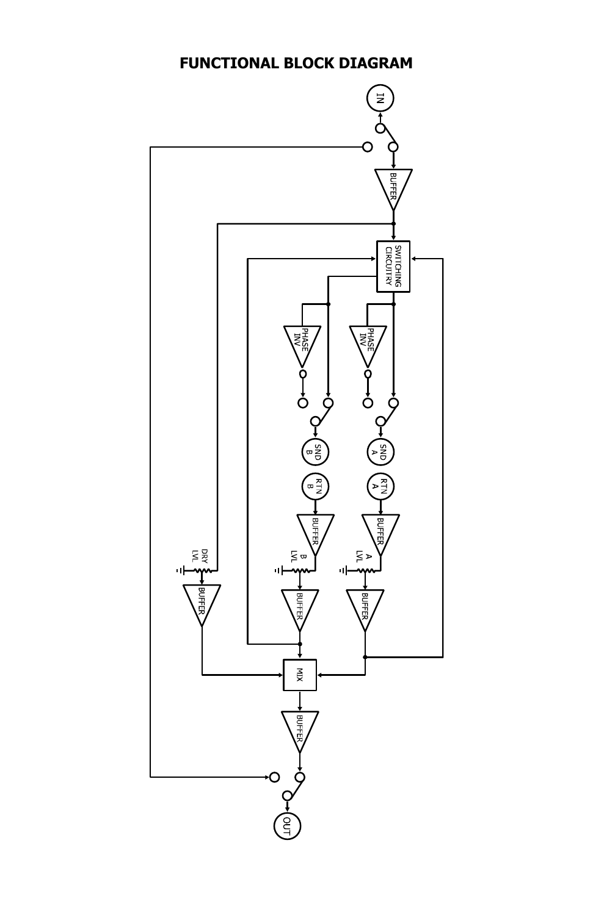## **FUNCTIONAL BLOCK DIAGRAM**

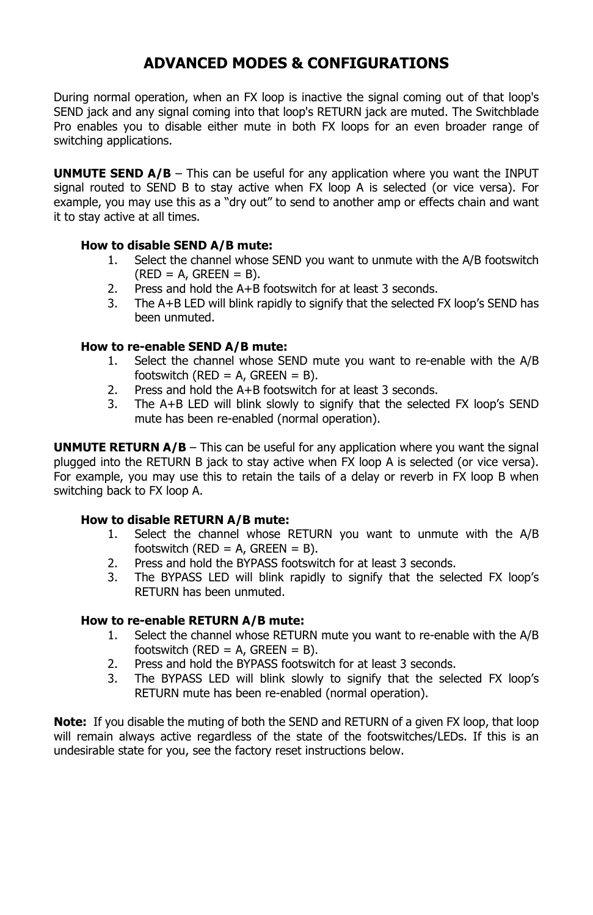## **ADVANCED MODES & CONFIGURATIONS**

During normal operation, when an FX loop is inactive the signal coming out of that loop's SEND jack and any signal coming into that loop's RETURN jack are muted. The Switchblade Pro enables you to disable either mute in both FX loops for an even broader range of switching applications.

**UNMUTE SEND A/B** – This can be useful for any application where you want the INPUT signal routed to SEND B to stay active when FX loop A is selected (or vice versa). For example, you may use this as a "dry out" to send to another amp or effects chain and want it to stay active at all times.

#### **How to disable SEND A/B mute:**

- 1. Select the channel whose SEND you want to unmute with the A/B footswitch  $(RED = A, GREEN = B).$
- 2. Press and hold the A+B footswitch for at least 3 seconds.
- 3. The A+B LED will blink rapidly to signify that the selected FX loop's SEND has been unmuted.

#### **How to re-enable SEND A/B mute:**

- 1. Select the channel whose SEND mute you want to re-enable with the A/B footswitch ( $RED = A$ ,  $GREEN = B$ ).
- 2. Press and hold the A+B footswitch for at least 3 seconds.
- 3. The A+B LED will blink slowly to signify that the selected FX loop's SEND mute has been re-enabled (normal operation).

**UNMUTE RETURN A/B** – This can be useful for any application where you want the signal plugged into the RETURN B jack to stay active when FX loop A is selected (or vice versa). For example, you may use this to retain the tails of a delay or reverb in FX loop B when switching back to FX loop A.

#### **How to disable RETURN A/B mute:**

- 1. Select the channel whose RETURN you want to unmute with the A/B footswitch ( $RED = A$ ,  $GREEN = B$ ).
- 2. Press and hold the BYPASS footswitch for at least 3 seconds.
- 3. The BYPASS LED will blink rapidly to signify that the selected FX loop's RETURN has been unmuted.

#### **How to re-enable RETURN A/B mute:**

- 1. Select the channel whose RETURN mute you want to re-enable with the A/B footswitch ( $RED = A$ ,  $GREEN = B$ ).
- 2. Press and hold the BYPASS footswitch for at least 3 seconds.
- 3. The BYPASS LED will blink slowly to signify that the selected FX loop's RETURN mute has been re-enabled (normal operation).

**Note:** If you disable the muting of both the SEND and RETURN of a given FX loop, that loop will remain always active regardless of the state of the footswitches/LEDs. If this is an undesirable state for you, see the factory reset instructions below.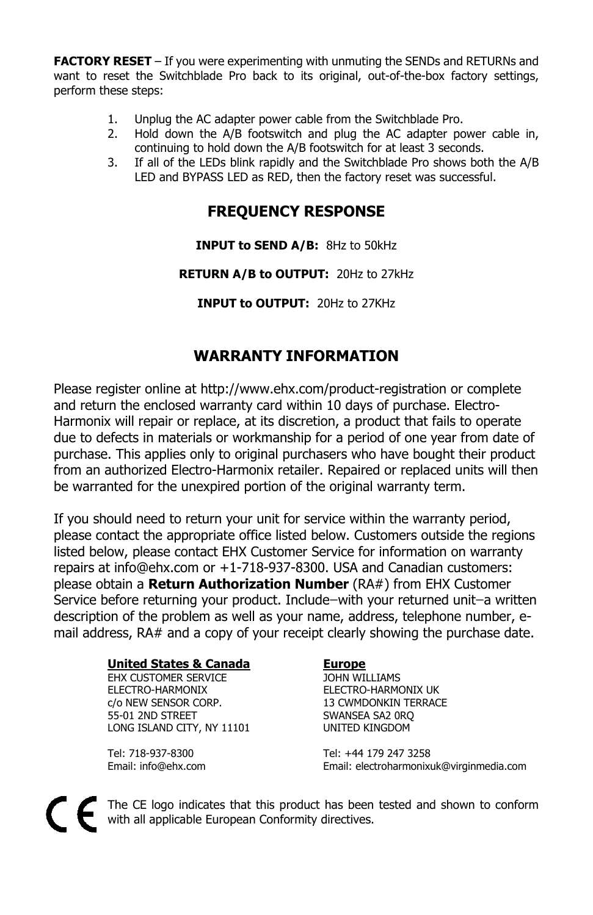**FACTORY RESET** – If you were experimenting with unmuting the SENDs and RETURNs and want to reset the Switchblade Pro back to its original, out-of-the-box factory settings, perform these steps:

- 1. Unplug the AC adapter power cable from the Switchblade Pro.
- 2. Hold down the A/B footswitch and plug the AC adapter power cable in, continuing to hold down the A/B footswitch for at least 3 seconds.
- 3. If all of the LEDs blink rapidly and the Switchblade Pro shows both the A/B LED and BYPASS LED as RED, then the factory reset was successful.

## **FREQUENCY RESPONSE**

### **INPUT to SEND A/B:** 8Hz to 50kHz

**RETURN A/B to OUTPUT:** 20Hz to 27kHz

**INPUT to OUTPUT:** 20Hz to 27KHz

## **WARRANTY INFORMATION**

Please register online at http://www.ehx.com/product-registration or complete and return the enclosed warranty card within 10 days of purchase. Electro-Harmonix will repair or replace, at its discretion, a product that fails to operate due to defects in materials or workmanship for a period of one year from date of purchase. This applies only to original purchasers who have bought their product from an authorized Electro-Harmonix retailer. Repaired or replaced units will then be warranted for the unexpired portion of the original warranty term.

If you should need to return your unit for service within the warranty period, please contact the appropriate office listed below. Customers outside the regions listed below, please contact EHX Customer Service for information on warranty repairs at info@ehx.com or +1-718-937-8300. USA and Canadian customers: please obtain a **Return Authorization Number** (RA#) from EHX Customer Service before returning your product. Include-with your returned unit-a written description of the problem as well as your name, address, telephone number, email address, RA# and a copy of your receipt clearly showing the purchase date.

#### **United States & Canada** Europe

**EHX CUSTOMER SERVICE CONSUMITY OF THE SERVICE**  ELECTRO-HARMONIX ELECTRO-HARMONIX UK c/o NEW SENSOR CORP. 13 CWMDONKIN TERRACE 55-01 2ND STREET SWANSEA SA2 ORQ LONG ISLAND CITY, NY 11101 UNITED KINGDOM

 Tel: 718-937-8300 Tel: +44 179 247 3258 Email: info@ehx.com Email: electroharmonixuk@virginmedia.com

The CE logo indicates that this product has been tested and shown to conform with all applicable European Conformity directives.